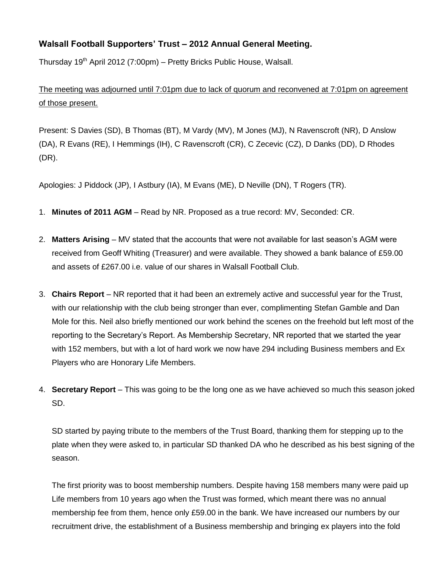## **Walsall Football Supporters' Trust – 2012 Annual General Meeting.**

Thursday 19<sup>th</sup> April 2012 (7:00pm) – Pretty Bricks Public House, Walsall.

The meeting was adjourned until 7:01pm due to lack of quorum and reconvened at 7:01pm on agreement of those present.

Present: S Davies (SD), B Thomas (BT), M Vardy (MV), M Jones (MJ), N Ravenscroft (NR), D Anslow (DA), R Evans (RE), I Hemmings (IH), C Ravenscroft (CR), C Zecevic (CZ), D Danks (DD), D Rhodes (DR).

Apologies: J Piddock (JP), I Astbury (IA), M Evans (ME), D Neville (DN), T Rogers (TR).

- 1. **Minutes of 2011 AGM** Read by NR. Proposed as a true record: MV, Seconded: CR.
- 2. **Matters Arising** MV stated that the accounts that were not available for last season's AGM were received from Geoff Whiting (Treasurer) and were available. They showed a bank balance of £59.00 and assets of £267.00 i.e. value of our shares in Walsall Football Club.
- 3. **Chairs Report** NR reported that it had been an extremely active and successful year for the Trust, with our relationship with the club being stronger than ever, complimenting Stefan Gamble and Dan Mole for this. Neil also briefly mentioned our work behind the scenes on the freehold but left most of the reporting to the Secretary's Report. As Membership Secretary, NR reported that we started the year with 152 members, but with a lot of hard work we now have 294 including Business members and Ex Players who are Honorary Life Members.
- 4. **Secretary Report** This was going to be the long one as we have achieved so much this season joked SD.

SD started by paying tribute to the members of the Trust Board, thanking them for stepping up to the plate when they were asked to, in particular SD thanked DA who he described as his best signing of the season.

The first priority was to boost membership numbers. Despite having 158 members many were paid up Life members from 10 years ago when the Trust was formed, which meant there was no annual membership fee from them, hence only £59.00 in the bank. We have increased our numbers by our recruitment drive, the establishment of a Business membership and bringing ex players into the fold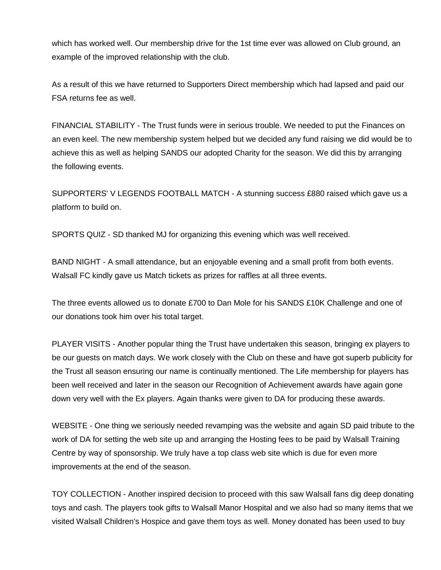which has worked well. Our membership drive for the 1st time ever was allowed on Club ground, an example of the improved relationship with the club.

As a result of this we have returned to Supporters Direct membership which had lapsed and paid our FSA returns fee as well.

FINANCIAL STABILITY - The Trust funds were in serious trouble. We needed to put the Finances on an even keel. The new membership system helped but we decided any fund raising we did would be to achieve this as well as helping SANDS our adopted Charity for the season. We did this by arranging the following events.

SUPPORTERS' V LEGENDS FOOTBALL MATCH - A stunning success £880 raised which gave us a platform to build on.

SPORTS QUIZ - SD thanked MJ for organizing this evening which was well received.

BAND NIGHT - A small attendance, but an enjoyable evening and a small profit from both events. Walsall FC kindly gave us Match tickets as prizes for raffles at all three events.

The three events allowed us to donate £700 to Dan Mole for his SANDS £10K Challenge and one of our donations took him over his total target.

PLAYER VISITS - Another popular thing the Trust have undertaken this season, bringing ex players to be our guests on match days. We work closely with the Club on these and have got superb publicity for the Trust all season ensuring our name is continually mentioned. The Life membership for players has been well received and later in the season our Recognition of Achievement awards have again gone down very well with the Ex players. Again thanks were given to DA for producing these awards.

WEBSITE - One thing we seriously needed revamping was the website and again SD paid tribute to the work of DA for setting the web site up and arranging the Hosting fees to be paid by Walsall Training Centre by way of sponsorship. We truly have a top class web site which is due for even more improvements at the end of the season.

TOY COLLECTION - Another inspired decision to proceed with this saw Walsall fans dig deep donating toys and cash. The players took gifts to Walsall Manor Hospital and we also had so many items that we visited Walsall Children's Hospice and gave them toys as well. Money donated has been used to buy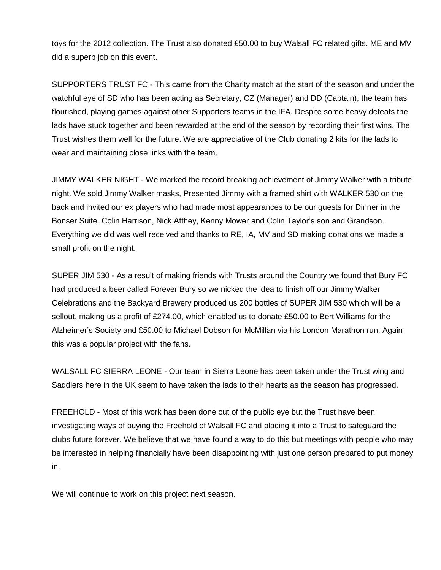toys for the 2012 collection. The Trust also donated £50.00 to buy Walsall FC related gifts. ME and MV did a superb job on this event.

SUPPORTERS TRUST FC - This came from the Charity match at the start of the season and under the watchful eye of SD who has been acting as Secretary, CZ (Manager) and DD (Captain), the team has flourished, playing games against other Supporters teams in the IFA. Despite some heavy defeats the lads have stuck together and been rewarded at the end of the season by recording their first wins. The Trust wishes them well for the future. We are appreciative of the Club donating 2 kits for the lads to wear and maintaining close links with the team.

JIMMY WALKER NIGHT - We marked the record breaking achievement of Jimmy Walker with a tribute night. We sold Jimmy Walker masks, Presented Jimmy with a framed shirt with WALKER 530 on the back and invited our ex players who had made most appearances to be our guests for Dinner in the Bonser Suite. Colin Harrison, Nick Atthey, Kenny Mower and Colin Taylor's son and Grandson. Everything we did was well received and thanks to RE, IA, MV and SD making donations we made a small profit on the night.

SUPER JIM 530 - As a result of making friends with Trusts around the Country we found that Bury FC had produced a beer called Forever Bury so we nicked the idea to finish off our Jimmy Walker Celebrations and the Backyard Brewery produced us 200 bottles of SUPER JIM 530 which will be a sellout, making us a profit of £274.00, which enabled us to donate £50.00 to Bert Williams for the Alzheimer's Society and £50.00 to Michael Dobson for McMillan via his London Marathon run. Again this was a popular project with the fans.

WALSALL FC SIERRA LEONE - Our team in Sierra Leone has been taken under the Trust wing and Saddlers here in the UK seem to have taken the lads to their hearts as the season has progressed.

FREEHOLD - Most of this work has been done out of the public eye but the Trust have been investigating ways of buying the Freehold of Walsall FC and placing it into a Trust to safeguard the clubs future forever. We believe that we have found a way to do this but meetings with people who may be interested in helping financially have been disappointing with just one person prepared to put money in.

We will continue to work on this project next season.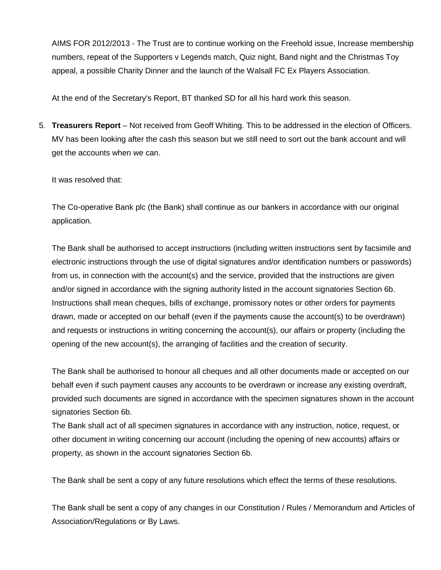AIMS FOR 2012/2013 - The Trust are to continue working on the Freehold issue, Increase membership numbers, repeat of the Supporters v Legends match, Quiz night, Band night and the Christmas Toy appeal, a possible Charity Dinner and the launch of the Walsall FC Ex Players Association.

At the end of the Secretary's Report, BT thanked SD for all his hard work this season.

5. **Treasurers Report** – Not received from Geoff Whiting. This to be addressed in the election of Officers. MV has been looking after the cash this season but we still need to sort out the bank account and will get the accounts when we can.

It was resolved that:

The Co-operative Bank plc (the Bank) shall continue as our bankers in accordance with our original application.

The Bank shall be authorised to accept instructions (including written instructions sent by facsimile and electronic instructions through the use of digital signatures and/or identification numbers or passwords) from us, in connection with the account(s) and the service, provided that the instructions are given and/or signed in accordance with the signing authority listed in the account signatories Section 6b. Instructions shall mean cheques, bills of exchange, promissory notes or other orders for payments drawn, made or accepted on our behalf (even if the payments cause the account(s) to be overdrawn) and requests or instructions in writing concerning the account(s), our affairs or property (including the opening of the new account(s), the arranging of facilities and the creation of security.

The Bank shall be authorised to honour all cheques and all other documents made or accepted on our behalf even if such payment causes any accounts to be overdrawn or increase any existing overdraft, provided such documents are signed in accordance with the specimen signatures shown in the account signatories Section 6b.

The Bank shall act of all specimen signatures in accordance with any instruction, notice, request, or other document in writing concerning our account (including the opening of new accounts) affairs or property, as shown in the account signatories Section 6b.

The Bank shall be sent a copy of any future resolutions which effect the terms of these resolutions.

The Bank shall be sent a copy of any changes in our Constitution / Rules / Memorandum and Articles of Association/Regulations or By Laws.